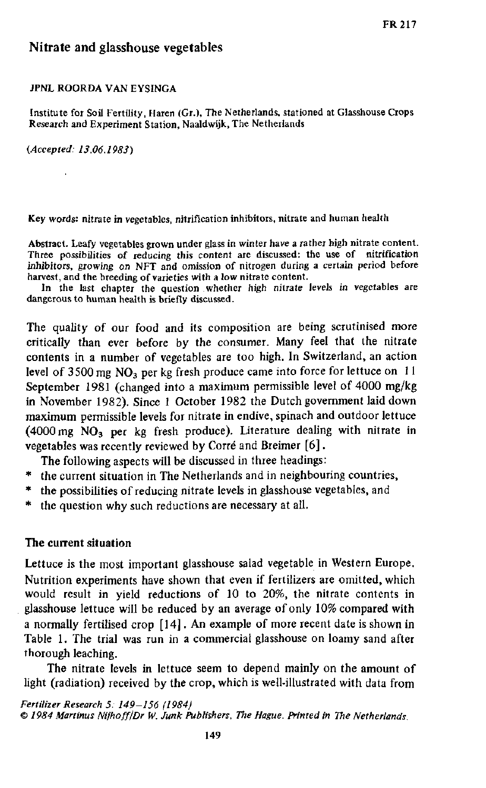# **Nitrate and glasshouse vegetables**

### **JPNL** ROORDA **VAN** EYSINGA

Institute for Soil Fertility, Haren (Gr.), The Netherlands, stationed at Glasshouse Crops Research and Experiment Station, Naaldwijk, The Netherlands

*{Accepted: 13.06.1983)* 

**Key** words: nitrate in vegetables, nitrification inhibitors, nitrate and human health

**Abstract.** Leafy vegetables grown under glass in winter have a rather high nitrate content. Three possibilities of reducing this content are discussed: the use of nitrification inhibitors, growing on NFT and omission of nitrogen during a certain period before harvest, and the breeding of varieties with a low nitrate content.

In the last chapter the question whether high nitrate levels in vegetables are dangerous to human health is briefly discussed.

The quality of our food and its composition are being scrutinised more critically than ever before by the consumer. Many feel that the nitrate contents in a number of vegetables are too high. In Switzerland, an action level of  $3500 \text{ mg NO}_3$  per kg fresh produce came into force for lettuce on 11 September 1981 (changed into a maximum permissible level of 4000 mg/kg in November 1982). Since 1 October 1982 the Dutch government laid down maximum permissible levels for nitrate in endive, spinach and outdoor lettuce (4000 mg N03 per kg fresh produce). Literature dealing with nitrate in vegetables was recently reviewed by Corré and Breimer [6].

The following aspects will be discussed in three headings:

- \* the current situation in The Netherlands and in neighbouring countries,
- \* the possibilities of reducing nitrate levels in glasshouse vegetables, and
- \* the question why such reductions are necessary at all.

## **The current situation**

Lettuce is the most important glasshouse salad vegetable in Western Europe. Nutrition experiments have shown that even if fertilizers are omitted, which would result in yield reductions of 10 to 20%, the nitrate contents in glasshouse lettuce will be reduced by an average of only 10% compared with a normally fertilised crop [14]. An example of more recent date is shown in Table 1. The trial was run in a commercial glasshouse on loamy sand after thorough leaching.

The nitrate levels in lettuce seem to depend mainly on the amount of light (radiation) received by the crop, which is well-illustrated with data from

*Fertilizer Research 5: 149-156 (1984)*  © *1984 Martinus Nijhoff/Dr W. Junk Publishers, The Hague. Printed in The Netherlands.*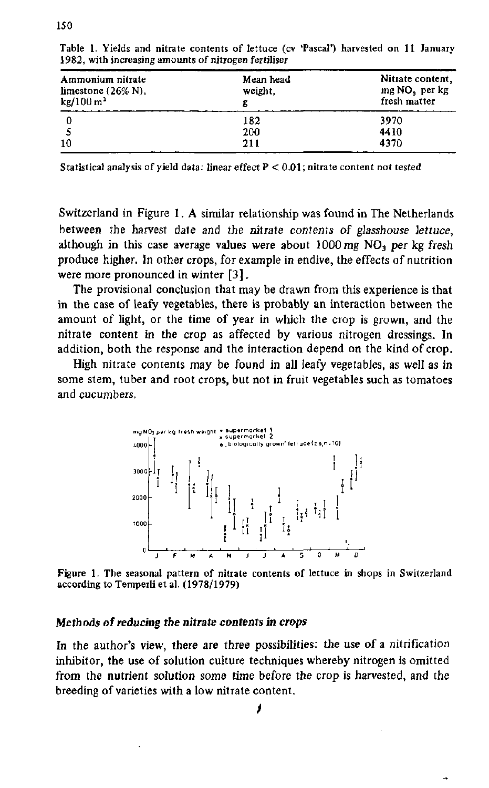| Ammonium nitrate<br>limestone $(26\% N)$ ,<br>$\text{kg}/100 \text{ m}^2$ | Mean head<br>weight. | Nitrate content,<br>mg NO <sub>2</sub> per kg<br>fresh matter |
|---------------------------------------------------------------------------|----------------------|---------------------------------------------------------------|
| Ω                                                                         | 182                  | 3970                                                          |
|                                                                           | 200                  | 4410                                                          |
| 10                                                                        | 211                  | 4370                                                          |

Table 1. Yields and nitrate contents of lettuce (cv 'Pascal') harvested on 11 January 1982, with increasing amounts of nitrogen fertiliser

Statistical analysis of yield data: linear effect  $P < 0.01$ ; nitrate content not tested

Switzerland in Figure 1. A similar relationship was found in The Netherlands between the harvest date and *the nitrate contents of glasshouse lettuce,*  although in this case average values were about 1000 mg NO<sub>3</sub> per kg fresh produce higher. In other crops, for example in endive, the effects of nutrition were more pronounced in winter [3].

The provisional conclusion that may be drawn from this experience is that in the case of leafy vegetables, there is probably an interaction between the amount of light, or the time of year in which the crop is grown, and the nitrate content in the crop as affected by various nitrogen dressings. In addition, both the response and the interaction depend on the kind of crop.

High nitrate contents may be found in all leafy vegetables, as well as in some stem, tuber and root crops, but not in fruit vegetables such as tomatoes and cucumbers.



Figure 1. The seasonal pattern of nitrate contents of lettuce in shops in Switzerland according to Temperli et al. (1978/1979)

#### **Methods** *of reducing the nitrate contents in crops*

In the author's view, there are three possibilities: the use of a nitrification inhibitor, the use of solution culture techniques whereby nitrogen is omitted from the nutrient solution some time before the crop is harvested, and the breeding of varieties with a low nitrate content.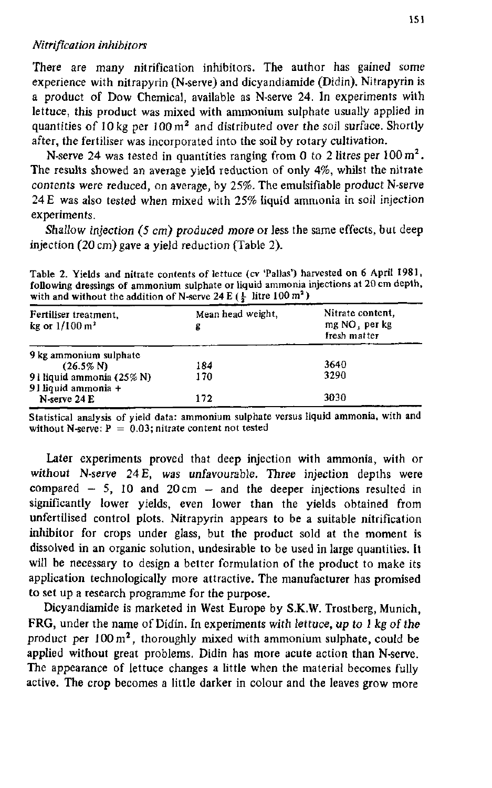#### *Nitrification inhibitors*

There are many nitrification inhibitors. The author has gained some experience with nitrapyrin (N-serve) and dicyandiamide (Didin). Nitrapyrin is a product of Dow Chemical, available as N-serve 24. In experiments with lettuce, this product was mixed with ammonium sulphate usually applied in quantities of  $10 \text{ kg}$  per  $100 \text{ m}^2$  and distributed over the soil surface. after, the fertiliser was incorporated into the soil by rotary cultivation.

N-serve 24 was tested in quantities ranging from 0 to 2 litres per The results showed an average yield reduction of only *4%,* whilst the nitrate contents *were* reduced, on average, by 25%. The emulsifiable product N-serve 24 E was also tested when mixed with 25% liquid ammonia in soil injection experiments.

Shallow injection *(5 cm) produced more* or less the same effects, but deep *injection (20 cm)* gave a yield reduction (Table 2).

Table 2. Yields and nitrate contents of lettuce (cv 'Pallas') harvested on 6 April 1981, following dressings of ammonium sulphate or liquid ammonia injections at 20 cm depth, with and without the addition of N-serve 24 E  $(\frac{1}{2})$  litre

| Fertiliser treatment,<br>kg or $1/100 \text{ m}^2$ | Mean head weight,<br>g | Nitrate content,<br>mg NO, per kg<br>fresh matter |
|----------------------------------------------------|------------------------|---------------------------------------------------|
| 9 kg ammonium sulphate                             |                        |                                                   |
| $(26.5\% N)$                                       | 184                    | 3640                                              |
| 91 liquid ammonia (25% N)                          | 170                    | 3290                                              |
| 91 liquid ammonia +                                |                        |                                                   |
| $N$ -serve 24 $E$                                  | 172                    | 3030                                              |

Statistical analysis of yield data: ammonium sulphate versus liquid ammonia, with and without N-serve:  $P = 0.03$ ; nitrate content not tested

Later experiments proved that deep injection with ammonia, with or without N-serve 24*E*, was unfavourable. Three injection depths were compared  $-5$ , 10 and 20 cm  $-$  and the deeper injections resulted in significantly lower yields, even lower than the yields obtained from unfertilised control plots. Nitrapyrin appears to be a suitable nitrification inhibitor for crops under glass, but the product sold at the moment is dissolved in an organic solution, undesirable to be used in large quantities. It will be necessary to design a better formulation of the product to make its application technologically more attractive. The manufacturer has promised to set up a research programme for the purpose.

Dicyandiamide is marketed in West Europe by S.K.W. Trostberg, Munich, FRG, under the name of Didin. In experiments with lettuce, *up to I kg of the*  product per  $100 \text{ m}^2$ , thoroughly mixed with ammonium sulphate, co applied without great problems. Didin has more acute action than N-serve. The appearance of lettuce changes a little when the material becomes fully active. The crop becomes a little darker in colour and the leaves grow more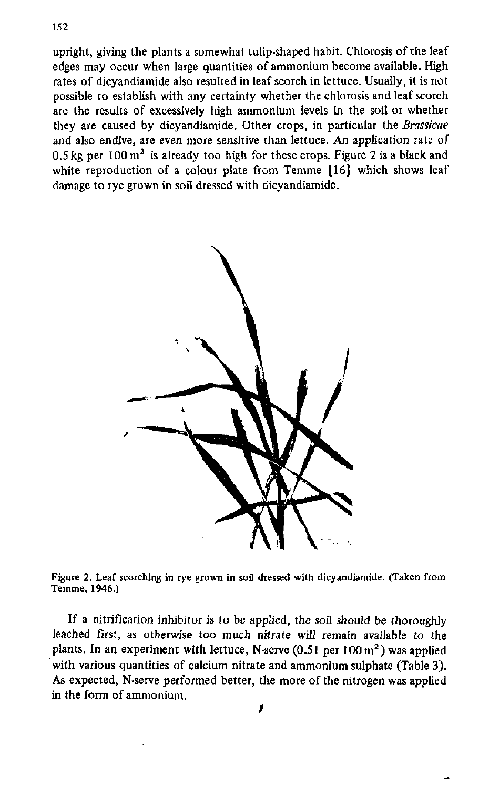upright, giving the plants a somewhat tulip-shaped habit. Chlorosis of the leaf edges may occur when large quantities of ammonium become available. High rates of dicyandiamide also resulted in leaf scorch in lettuce. Usually, it is not possible to establish with any certainty whether the chlorosis and leaf scorch are the results of excessively high ammonium levels in the soil or whether they are caused by dicyandiamide. Other crops, in particular the *Brassicae*  and also endive, are even more sensitive than lettuce. An application rate of 0.5 kg per  $100 \text{ m}^2$  is already too high for these crops. Figure 2 is a white reproduction of a colour plate from Temme [16] which shows leaf damage to rye grown in soil dressed with dicyandiamide.



Figure 2. Leaf scorching in rye grown in soil dressed with dicyandiamide. (Taken from Temme, 1946.)

If a nitrification inhibitor is to be applied, the soil should be thoroughly leached first, as otherwise too much nitrate will remain available to the plants. In an experiment with lettuce, N-serve  $(0.51$  per  $100 \text{ m}^2)$  was with various quantities of calcium nitrate and ammonium sulphate (Table 3). As expected, N-serve performed better, the more of the nitrogen was applied in the form of ammonium.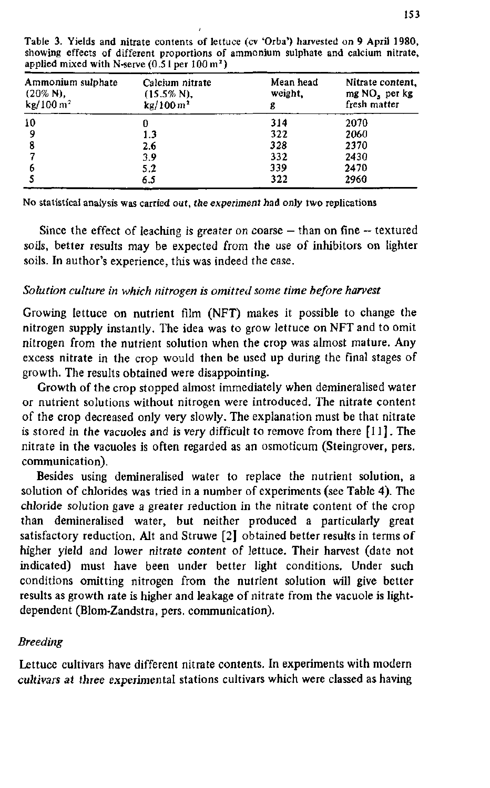| Ammonium sulphate<br>$(20\% N),$<br>$\text{kg}/100 \,\text{m}^2$ | Calcium nitrate<br>$(15.5\% N),$<br>kg/100 m <sup>2</sup> | Mean head<br>weight.<br>g | Nitrate content,<br>mg NO <sub>s</sub> per kg<br>fresh matter |
|------------------------------------------------------------------|-----------------------------------------------------------|---------------------------|---------------------------------------------------------------|
| 10                                                               |                                                           | 314                       | 2070                                                          |
| 9                                                                | 1.3                                                       | 322                       | 2060                                                          |
| 8                                                                | 2.6                                                       | 328                       | 2370                                                          |
|                                                                  | 3.9                                                       | 332                       | 2430                                                          |
|                                                                  | 5.2                                                       | 339                       | 2470                                                          |
|                                                                  | 6.5                                                       | 322                       | 2960                                                          |

Table 3. Yields and nitrate contents of lettuce (cv 'Orba') harvested on 9 April 1980, showing effects of different proportions of ammonium sulphate and calcium nitrate, applied mixed with N-serve (0.5 l per  $100$ 

No statistical analysis was carried out, *the experiment* had only two replications

Since the effect of leaching is greater on coarse  $-$  than on fine  $-$  textured soils, better results may be expected from the use of inhibitors on lighter soils. In author's experience, this was indeed the case.

#### *Solution culture in which nitrogen is omitted some time before harvest*

Growing lettuce on nutrient film (NFT) makes it possible to change the nitrogen supply instantly. The idea was to grow lettuce on NFT and to omit nitrogen from the nutrient solution when the crop was almost mature. Any excess nitrate in the crop would then be used up during the final stages of growth. The results obtained were disappointing.

Growth of the crop stopped almost immediately when demineralised water or nutrient solutions without nitrogen were introduced. The nitrate content of the crop decreased only very slowly. The explanation must be that nitrate is stored in the vacuoles and is *very* difficult to remove from there [11]. The nitrate in the vacuoles is often regarded as an osmoticum (Steingrover, pers. communication).

Besides using demineralised water to replace the nutrient solution, a solution of chlorides was tried in a number of experiments (see Table 4). The chloride solution gave a greater reduction in the nitrate content of the crop than demineralised water, but neither produced a particularly great satisfactory reduction. Alt and Struwe [2] obtained better results in terms of higher yield and lower nitrate content of lettuce. Their harvest (date not indicated) must have been under better light conditions. Under such conditions omitting nitrogen from the nutrient solution will give better results as growth rate is higher and leakage of nitrate from the vacuole is lightdependent (Blom-Zandstra, pers. communication).

#### *Breeding*

Lettuce cultivars have different nitrate contents. In experiments with modern *cultivars at three* experimental stations cultivars which were classed as having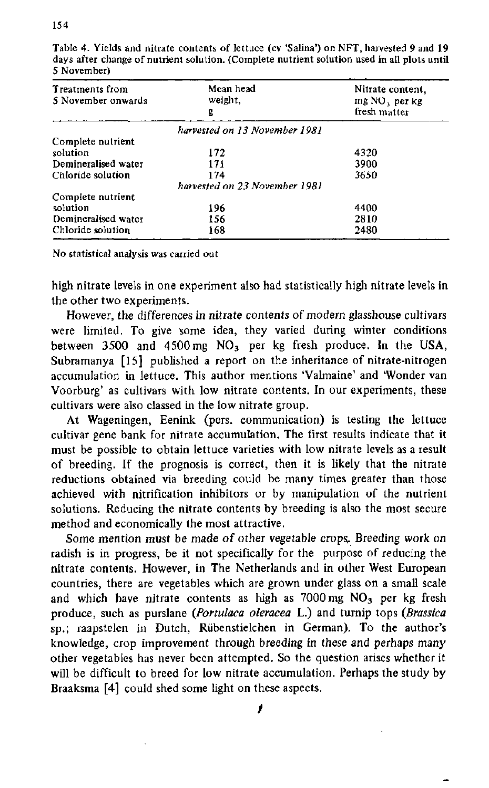| Treatments from<br>5 November onwards | Mean head<br>weight,<br>g     | Nitrate content.<br>mg NO, per kg<br>fresh matter |
|---------------------------------------|-------------------------------|---------------------------------------------------|
|                                       | harvested on 13 November 1981 |                                                   |
| Complete nutrient                     |                               |                                                   |
| solution                              | 172                           | 4320                                              |
| Demineralised water                   | 171                           | 3900                                              |
| Chloride solution                     | 174                           | 3650                                              |
|                                       | harvested on 23 November 1981 |                                                   |
| Complete nutrient                     |                               |                                                   |
| solution                              | 196                           | 4400                                              |
| Demineralised water                   | 156                           | 2810                                              |
| Chloride solution                     | 168                           | 2480                                              |

Table 4. Yields and nitrate contents of lettuce (cv 'Salina') on NFT, harvested 9 and 19 days after change of nutrient solution. (Complete nutrient solution used in all plots until 5 November)

No statistical analysis was carried out

high nitrate levels in one experiment also had statistically high nitrate levels in the other two experiments.

However, the differences in nitrate contents of modern glasshouse cultivars were limited. To give some idea, they varied during winter conditions between 3500 and 4500 mg  $NO<sub>3</sub>$  per kg fresh produce. In the USA, Subramanya [15] published a report on the inheritance of nitrate-nitrogen accumulation in lettuce. This author mentions 'Valmaine' and 'Wonder van Voorburg' as cultivars with low nitrate contents. In our experiments, these cultivars were also classed in the low nitrate group.

At Wageningen, Eenink (pers. communication) is testing the lettuce cultivar gene bank for nitrate accumulation. The first results indicate that it must be possible to obtain lettuce varieties with low nitrate levels as a result of breeding. If the prognosis is correct, then it is likely that the nitrate reductions obtained via breeding could be many times greater than those achieved with nitrification inhibitors or by manipulation of the nutrient solutions. Reducing the nitrate contents by breeding is also the most secure method and economically the most attractive.

Some mention must be made of other vegetable crops. Breeding work on radish is in progress, be it not specifically for the purpose of reducing the nitrate contents. However, in The Netherlands and in other West European countries, there are vegetables which are grown under glass on a small scale and which have nitrate contents as high as  $7000 \text{ mg NO}_3$  per kg fresh produce, such as purslane *(Portulaca oleracea* L.) and turnip tops *{Brassica*  sp.; raapstelen in Dutch, Riibenstielchen in German). To the author's knowledge, crop improvement through breeding in these and perhaps many other vegetables has never been attempted. So the question arises whether it will be difficult to breed for low nitrate accumulation. Perhaps the study by Braaksma [4] could shed some light on these aspects.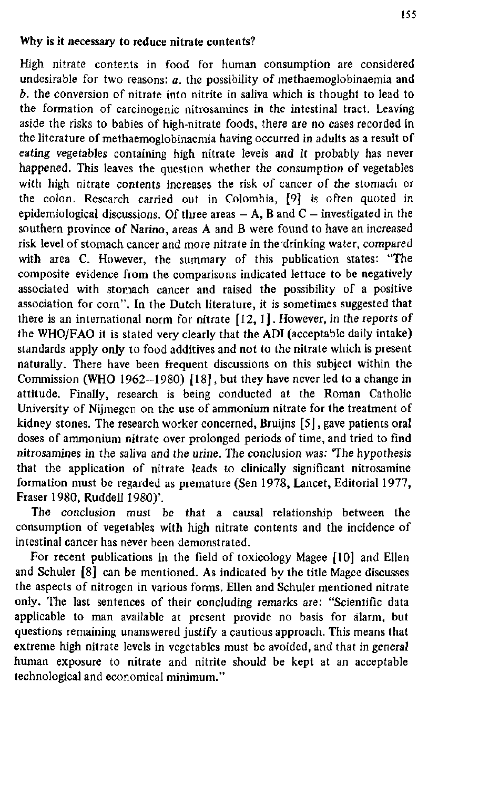#### Why is it necessary to reduce nitrate contents?

High nitrate contents in food for human consumption are considered undesirable for two reasons: *a.* the possibility of methaemoglobinaemia and *b.* the conversion of nitrate into nitrite in saliva which is thought to lead to the formation of carcinogenic nitrosamines in the intestinal tract. Leaving aside the risks to babies of high-nitrate foods, there are no cases recorded in the literature of methaemoglobinaemia having occurred in adults as a result of eating vegetables containing high nitrate levels and it probably has never happened. This leaves the question whether the consumption of vegetables with high nitrate contents increases the risk of cancer of the stomach or the colon. Research carried out in Colombia, [9] is often quoted in epidemiological discussions. Of three areas  $-A$ , B and  $C$  – investigated in the southern province of Narino, areas A and B were found to have an increased risk level of stomach cancer and more nitrate in the 'drinking water, compared with area C. However, the summary of this publication states: "The composite evidence from the comparisons indicated lettuce to be negatively associated with stomach cancer and raised the possibility of a positive association for corn". In the Dutch literature, it is sometimes suggested that there is an international norm for nitrate [12, 1]. However, in the reports of the WHO/FAO it is stated very clearly that the ADI (acceptable daily intake) standards apply only to food additives and not to the nitrate which is present naturally. There have been frequent discussions on this subject within the Commission (WHO 1962-1980) [18], but they have never led to a change in attitude. Finally, research is being conducted at the Roman Catholic University of Nijmegen on the use of ammonium nitrate for the treatment of kidney stones. The research worker concerned, Bruijns [5], gave patients oral doses of ammonium nitrate over prolonged periods of time, and tried to find nitrosamines in the saliva and the urine. The conclusion was: 'The hypothesis that the application of nitrate leads to clinically significant nitrosamine formation must be regarded as premature (Sen 1978, Lancet, Editorial 1977, Fraser 1980, Ruddell 1980)'.

The conclusion must be that a causal relationship between the consumption of vegetables with high nitrate contents and the incidence of intestinal cancer has never been demonstrated.

For recent publications in the field of toxicology Magee [10] and Ellen and Schuier [8] can be mentioned. As indicated by the title Magee discusses the aspects of nitrogen in various forms. Ellen and Schuier mentioned nitrate only. The last sentences of their concluding remarks are: "Scientific data applicable to man available at present provide no basis for alarm, but questions remaining unanswered justify a cautious approach. This means that extreme high nitrate levels in vegetables must be avoided, and that in general human exposure to nitrate and nitrite should be kept at an acceptable technological and economical minimum."